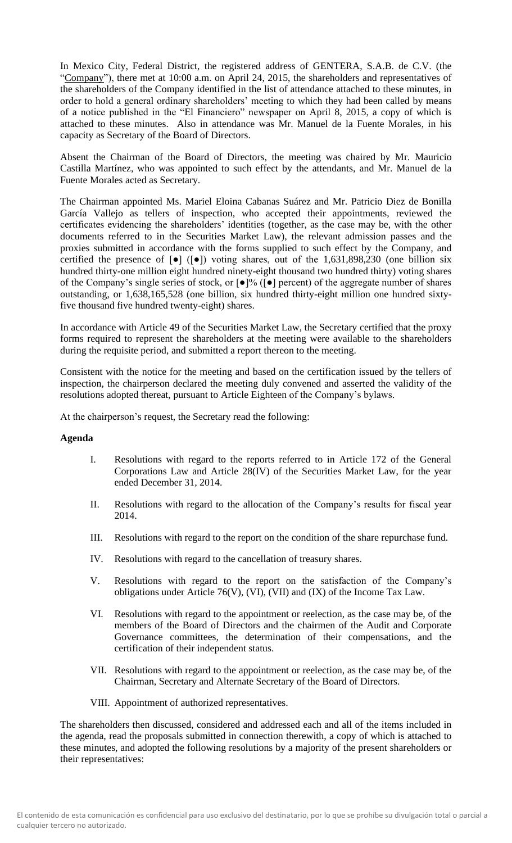In Mexico City, Federal District, the registered address of GENTERA, S.A.B. de C.V. (the "Company"), there met at 10:00 a.m. on April 24, 2015, the shareholders and representatives of the shareholders of the Company identified in the list of attendance attached to these minutes, in order to hold a general ordinary shareholders' meeting to which they had been called by means of a notice published in the "El Financiero" newspaper on April 8, 2015, a copy of which is attached to these minutes. Also in attendance was Mr. Manuel de la Fuente Morales, in his capacity as Secretary of the Board of Directors.

Absent the Chairman of the Board of Directors, the meeting was chaired by Mr. Mauricio Castilla Martínez, who was appointed to such effect by the attendants, and Mr. Manuel de la Fuente Morales acted as Secretary.

The Chairman appointed Ms. Mariel Eloina Cabanas Suárez and Mr. Patricio Diez de Bonilla García Vallejo as tellers of inspection, who accepted their appointments, reviewed the certificates evidencing the shareholders' identities (together, as the case may be, with the other documents referred to in the Securities Market Law), the relevant admission passes and the proxies submitted in accordance with the forms supplied to such effect by the Company, and certified the presence of  $\lceil \bullet \rceil$  ( $\lceil \bullet \rceil$ ) voting shares, out of the 1,631,898,230 (one billion six hundred thirty-one million eight hundred ninety-eight thousand two hundred thirty) voting shares of the Company's single series of stock, or [●]% ([●] percent) of the aggregate number of shares outstanding, or 1,638,165,528 (one billion, six hundred thirty-eight million one hundred sixtyfive thousand five hundred twenty-eight) shares.

In accordance with Article 49 of the Securities Market Law, the Secretary certified that the proxy forms required to represent the shareholders at the meeting were available to the shareholders during the requisite period, and submitted a report thereon to the meeting.

Consistent with the notice for the meeting and based on the certification issued by the tellers of inspection, the chairperson declared the meeting duly convened and asserted the validity of the resolutions adopted thereat, pursuant to Article Eighteen of the Company's bylaws.

At the chairperson's request, the Secretary read the following:

# **Agenda**

- I. Resolutions with regard to the reports referred to in Article 172 of the General Corporations Law and Article 28(IV) of the Securities Market Law, for the year ended December 31, 2014.
- II. Resolutions with regard to the allocation of the Company's results for fiscal year 2014.
- III. Resolutions with regard to the report on the condition of the share repurchase fund.
- IV. Resolutions with regard to the cancellation of treasury shares.
- V. Resolutions with regard to the report on the satisfaction of the Company's obligations under Article 76(V), (VI), (VII) and (IX) of the Income Tax Law.
- VI. Resolutions with regard to the appointment or reelection, as the case may be, of the members of the Board of Directors and the chairmen of the Audit and Corporate Governance committees, the determination of their compensations, and the certification of their independent status.
- VII. Resolutions with regard to the appointment or reelection, as the case may be, of the Chairman, Secretary and Alternate Secretary of the Board of Directors.
- VIII. Appointment of authorized representatives.

The shareholders then discussed, considered and addressed each and all of the items included in the agenda, read the proposals submitted in connection therewith, a copy of which is attached to these minutes, and adopted the following resolutions by a majority of the present shareholders or their representatives: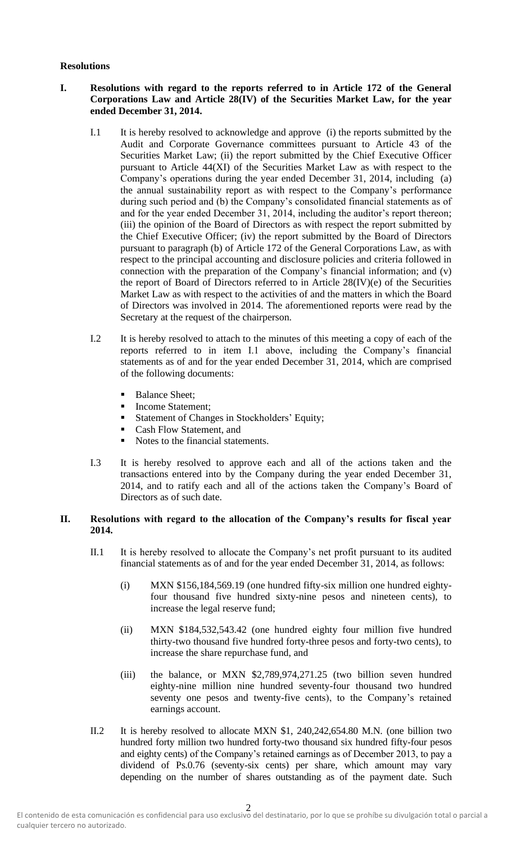## **Resolutions**

## **I. Resolutions with regard to the reports referred to in Article 172 of the General Corporations Law and Article 28(IV) of the Securities Market Law, for the year ended December 31, 2014.**

- I.1 It is hereby resolved to acknowledge and approve (i) the reports submitted by the Audit and Corporate Governance committees pursuant to Article 43 of the Securities Market Law; (ii) the report submitted by the Chief Executive Officer pursuant to Article 44(XI) of the Securities Market Law as with respect to the Company's operations during the year ended December 31, 2014, including (a) the annual sustainability report as with respect to the Company's performance during such period and (b) the Company's consolidated financial statements as of and for the year ended December 31, 2014, including the auditor's report thereon; (iii) the opinion of the Board of Directors as with respect the report submitted by the Chief Executive Officer; (iv) the report submitted by the Board of Directors pursuant to paragraph (b) of Article 172 of the General Corporations Law, as with respect to the principal accounting and disclosure policies and criteria followed in connection with the preparation of the Company's financial information; and (v) the report of Board of Directors referred to in Article 28(IV)(e) of the Securities Market Law as with respect to the activities of and the matters in which the Board of Directors was involved in 2014. The aforementioned reports were read by the Secretary at the request of the chairperson.
- I.2 It is hereby resolved to attach to the minutes of this meeting a copy of each of the reports referred to in item I.1 above, including the Company's financial statements as of and for the year ended December 31, 2014, which are comprised of the following documents:
	- **Balance Sheet;**
	- Income Statement;
	- **Exercise 1** Statement of Changes in Stockholders' Equity;
	- Cash Flow Statement, and
	- Notes to the financial statements.
- I.3 It is hereby resolved to approve each and all of the actions taken and the transactions entered into by the Company during the year ended December 31, 2014, and to ratify each and all of the actions taken the Company's Board of Directors as of such date.

## **II. Resolutions with regard to the allocation of the Company's results for fiscal year 2014.**

- II.1 It is hereby resolved to allocate the Company's net profit pursuant to its audited financial statements as of and for the year ended December 31, 2014, as follows:
	- (i) MXN \$156,184,569.19 (one hundred fifty-six million one hundred eightyfour thousand five hundred sixty-nine pesos and nineteen cents), to increase the legal reserve fund;
	- (ii) MXN \$184,532,543.42 (one hundred eighty four million five hundred thirty-two thousand five hundred forty-three pesos and forty-two cents), to increase the share repurchase fund, and
	- (iii) the balance, or MXN \$2,789,974,271.25 (two billion seven hundred eighty-nine million nine hundred seventy-four thousand two hundred seventy one pesos and twenty-five cents), to the Company's retained earnings account.
- II.2 It is hereby resolved to allocate MXN \$1, 240,242,654.80 M.N. (one billion two hundred forty million two hundred forty-two thousand six hundred fifty-four pesos and eighty cents) of the Company's retained earnings as of December 2013, to pay a dividend of Ps.0.76 (seventy-six cents) per share, which amount may vary depending on the number of shares outstanding as of the payment date. Such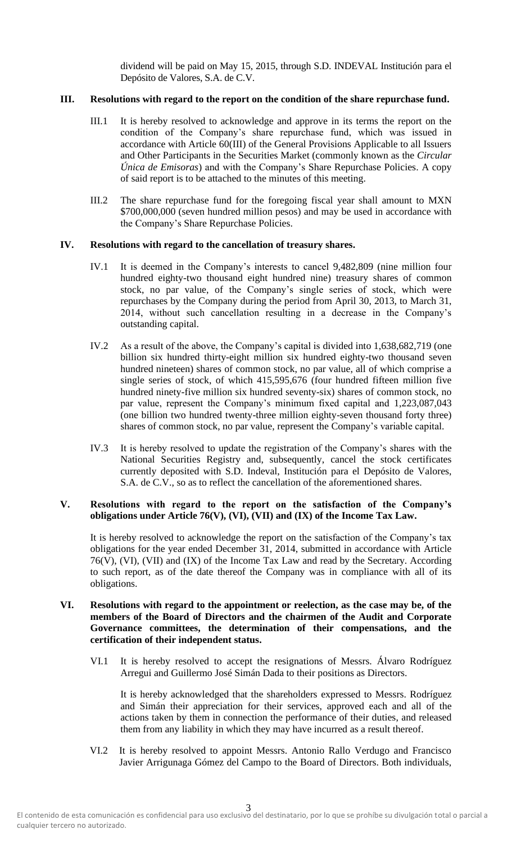dividend will be paid on May 15, 2015, through S.D. INDEVAL Institución para el Depósito de Valores, S.A. de C.V.

# **III. Resolutions with regard to the report on the condition of the share repurchase fund.**

- III.1 It is hereby resolved to acknowledge and approve in its terms the report on the condition of the Company's share repurchase fund, which was issued in accordance with Article 60(III) of the General Provisions Applicable to all Issuers and Other Participants in the Securities Market (commonly known as the *Circular Única de Emisoras*) and with the Company's Share Repurchase Policies. A copy of said report is to be attached to the minutes of this meeting.
- III.2 The share repurchase fund for the foregoing fiscal year shall amount to MXN \$700,000,000 (seven hundred million pesos) and may be used in accordance with the Company's Share Repurchase Policies.

#### **IV. Resolutions with regard to the cancellation of treasury shares.**

- IV.1 It is deemed in the Company's interests to cancel 9,482,809 (nine million four hundred eighty-two thousand eight hundred nine) treasury shares of common stock, no par value, of the Company's single series of stock, which were repurchases by the Company during the period from April 30, 2013, to March 31, 2014, without such cancellation resulting in a decrease in the Company's outstanding capital.
- IV.2 As a result of the above, the Company's capital is divided into 1,638,682,719 (one billion six hundred thirty-eight million six hundred eighty-two thousand seven hundred nineteen) shares of common stock, no par value, all of which comprise a single series of stock, of which 415,595,676 (four hundred fifteen million five hundred ninety-five million six hundred seventy-six) shares of common stock, no par value, represent the Company's minimum fixed capital and 1,223,087,043 (one billion two hundred twenty-three million eighty-seven thousand forty three) shares of common stock, no par value, represent the Company's variable capital.
- IV.3 It is hereby resolved to update the registration of the Company's shares with the National Securities Registry and, subsequently, cancel the stock certificates currently deposited with S.D. Indeval, Institución para el Depósito de Valores, S.A. de C.V., so as to reflect the cancellation of the aforementioned shares.

## **V. Resolutions with regard to the report on the satisfaction of the Company's obligations under Article 76(V), (VI), (VII) and (IX) of the Income Tax Law.**

It is hereby resolved to acknowledge the report on the satisfaction of the Company's tax obligations for the year ended December 31, 2014, submitted in accordance with Article 76(V), (VI), (VII) and (IX) of the Income Tax Law and read by the Secretary. According to such report, as of the date thereof the Company was in compliance with all of its obligations.

## **VI. Resolutions with regard to the appointment or reelection, as the case may be, of the members of the Board of Directors and the chairmen of the Audit and Corporate Governance committees, the determination of their compensations, and the certification of their independent status.**

VI.1 It is hereby resolved to accept the resignations of Messrs. Álvaro Rodríguez Arregui and Guillermo José Simán Dada to their positions as Directors.

It is hereby acknowledged that the shareholders expressed to Messrs. Rodríguez and Simán their appreciation for their services, approved each and all of the actions taken by them in connection the performance of their duties, and released them from any liability in which they may have incurred as a result thereof.

VI.2 It is hereby resolved to appoint Messrs. Antonio Rallo Verdugo and Francisco Javier Arrigunaga Gómez del Campo to the Board of Directors. Both individuals,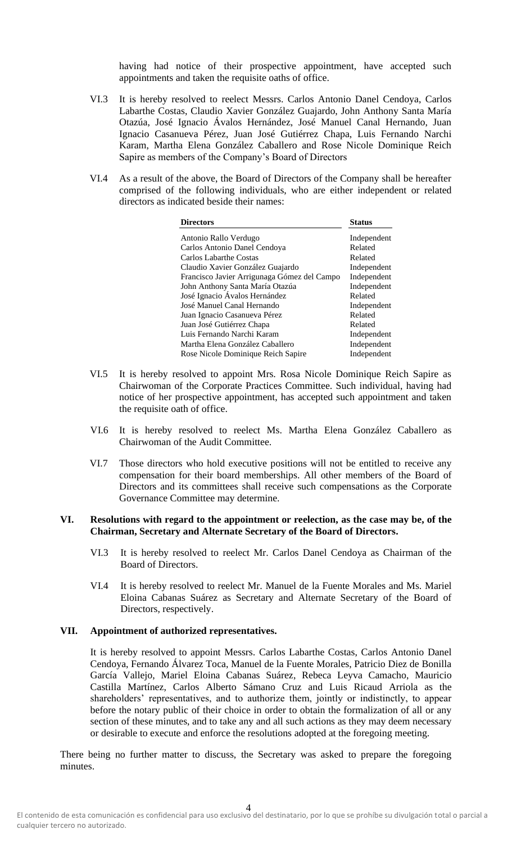having had notice of their prospective appointment, have accepted such appointments and taken the requisite oaths of office.

- VI.3 It is hereby resolved to reelect Messrs. Carlos Antonio Danel Cendoya, Carlos Labarthe Costas, Claudio Xavier González Guajardo, John Anthony Santa María Otazúa, José Ignacio Ávalos Hernández, José Manuel Canal Hernando, Juan Ignacio Casanueva Pérez, Juan José Gutiérrez Chapa, Luis Fernando Narchi Karam, Martha Elena González Caballero and Rose Nicole Dominique Reich Sapire as members of the Company's Board of Directors
- VI.4 As a result of the above, the Board of Directors of the Company shall be hereafter comprised of the following individuals, who are either independent or related directors as indicated beside their names:

| <b>Directors</b>                            | <b>Status</b> |
|---------------------------------------------|---------------|
| Antonio Rallo Verdugo                       | Independent   |
| Carlos Antonio Danel Cendoya                | Related       |
| Carlos Labarthe Costas                      | Related       |
| Claudio Xavier González Guajardo            | Independent   |
| Francisco Javier Arrigunaga Gómez del Campo | Independent   |
| John Anthony Santa María Otazúa             | Independent   |
| José Ignacio Ávalos Hernández               | Related       |
| José Manuel Canal Hernando                  | Independent   |
| Juan Ignacio Casanueva Pérez                | Related       |
| Juan José Gutiérrez Chapa                   | Related       |
| Luis Fernando Narchi Karam                  | Independent   |
| Martha Elena González Caballero             | Independent   |
| Rose Nicole Dominique Reich Sapire          | Independent   |

- VI.5 It is hereby resolved to appoint Mrs. Rosa Nicole Dominique Reich Sapire as Chairwoman of the Corporate Practices Committee. Such individual, having had notice of her prospective appointment, has accepted such appointment and taken the requisite oath of office.
- VI.6 It is hereby resolved to reelect Ms. Martha Elena González Caballero as Chairwoman of the Audit Committee.
- VI.7 Those directors who hold executive positions will not be entitled to receive any compensation for their board memberships. All other members of the Board of Directors and its committees shall receive such compensations as the Corporate Governance Committee may determine.

#### **VI. Resolutions with regard to the appointment or reelection, as the case may be, of the Chairman, Secretary and Alternate Secretary of the Board of Directors.**

- VI.3 It is hereby resolved to reelect Mr. Carlos Danel Cendoya as Chairman of the Board of Directors.
- VI.4 It is hereby resolved to reelect Mr. Manuel de la Fuente Morales and Ms. Mariel Eloina Cabanas Suárez as Secretary and Alternate Secretary of the Board of Directors, respectively.

#### **VII. Appointment of authorized representatives.**

It is hereby resolved to appoint Messrs. Carlos Labarthe Costas, Carlos Antonio Danel Cendoya, Fernando Álvarez Toca, Manuel de la Fuente Morales, Patricio Diez de Bonilla García Vallejo, Mariel Eloina Cabanas Suárez, Rebeca Leyva Camacho, Mauricio Castilla Martínez, Carlos Alberto Sámano Cruz and Luis Ricaud Arriola as the shareholders' representatives, and to authorize them, jointly or indistinctly, to appear before the notary public of their choice in order to obtain the formalization of all or any section of these minutes, and to take any and all such actions as they may deem necessary or desirable to execute and enforce the resolutions adopted at the foregoing meeting.

There being no further matter to discuss, the Secretary was asked to prepare the foregoing minutes.